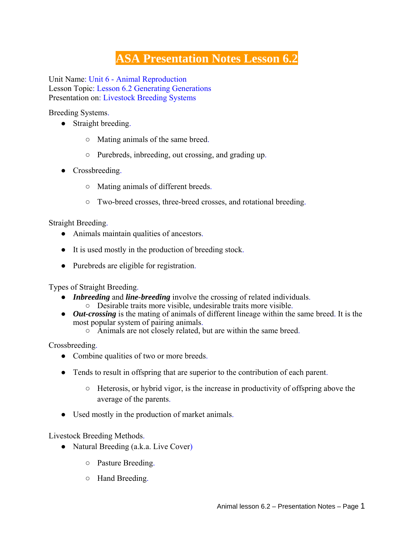## **ASA Presentation Notes Lesson 6.2**

Unit Name: Unit 6 - Animal Reproduction Lesson Topic: Lesson 6.2 Generating Generations Presentation on: Livestock Breeding Systems

Breeding Systems.

- Straight breeding.
	- Mating animals of the same breed.
	- Purebreds, inbreeding, out crossing, and grading up.
- Crossbreeding.
	- Mating animals of different breeds.
	- Two-breed crosses, three-breed crosses, and rotational breeding.

Straight Breeding.

- Animals maintain qualities of ancestors.
- It is used mostly in the production of breeding stock.
- Purebreds are eligible for registration.

Types of Straight Breeding.

- *Inbreeding* and *line-breeding* involve the crossing of related individuals.
	- Desirable traits more visible, undesirable traits more visible.
- *Out-crossing* is the mating of animals of different lineage within the same breed. It is the most popular system of pairing animals.
	- Animals are not closely related, but are within the same breed.

Crossbreeding.

- Combine qualities of two or more breeds.
- Tends to result in offspring that are superior to the contribution of each parent.
	- Heterosis, or hybrid vigor, is the increase in productivity of offspring above the average of the parents.
- Used mostly in the production of market animals.

Livestock Breeding Methods.

- Natural Breeding (a.k.a. Live Cover)
	- Pasture Breeding.
	- Hand Breeding.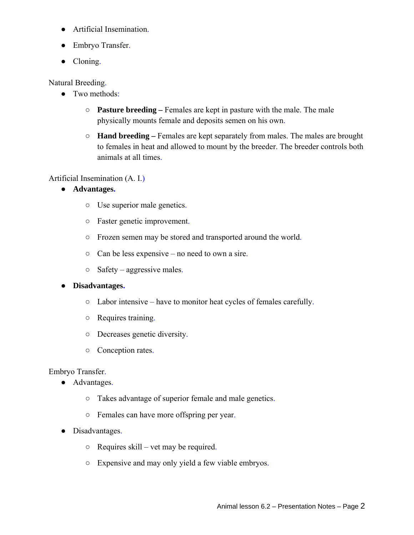- Artificial Insemination.
- Embryo Transfer.
- Cloning.

Natural Breeding.

- Two methods:
	- **Pasture breeding –** Females are kept in pasture with the male. The male physically mounts female and deposits semen on his own.
	- **Hand breeding –** Females are kept separately from males. The males are brought to females in heat and allowed to mount by the breeder. The breeder controls both animals at all times.

Artificial Insemination (A. I.)

- **Advantages.**
	- Use superior male genetics.
	- Faster genetic improvement.
	- Frozen semen may be stored and transported around the world.
	- $\circ$  Can be less expensive no need to own a sire.
	- Safety aggressive males.

## ● **Disadvantages.**

- Labor intensive have to monitor heat cycles of females carefully.
- Requires training.
- Decreases genetic diversity.
- Conception rates.

## Embryo Transfer.

- Advantages.
	- Takes advantage of superior female and male genetics.
	- Females can have more offspring per year.
- Disadvantages.
	- Requires skill vet may be required.
	- Expensive and may only yield a few viable embryos.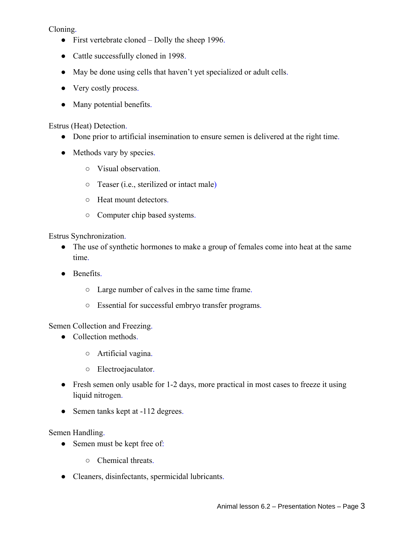Cloning.

- First vertebrate cloned Dolly the sheep 1996.
- Cattle successfully cloned in 1998.
- May be done using cells that haven't yet specialized or adult cells.
- Very costly process.
- Many potential benefits.

Estrus (Heat) Detection.

- Done prior to artificial insemination to ensure semen is delivered at the right time.
- Methods vary by species.
	- Visual observation.
	- Teaser (i.e., sterilized or intact male)
	- Heat mount detectors.
	- Computer chip based systems.

Estrus Synchronization.

- The use of synthetic hormones to make a group of females come into heat at the same time.
- Benefits.
	- Large number of calves in the same time frame.
	- Essential for successful embryo transfer programs.

Semen Collection and Freezing.

- Collection methods.
	- Artificial vagina.
	- Electroejaculator.
- Fresh semen only usable for 1-2 days, more practical in most cases to freeze it using liquid nitrogen.
- Semen tanks kept at -112 degrees.

Semen Handling.

- Semen must be kept free of:
	- Chemical threats.
- Cleaners, disinfectants, spermicidal lubricants.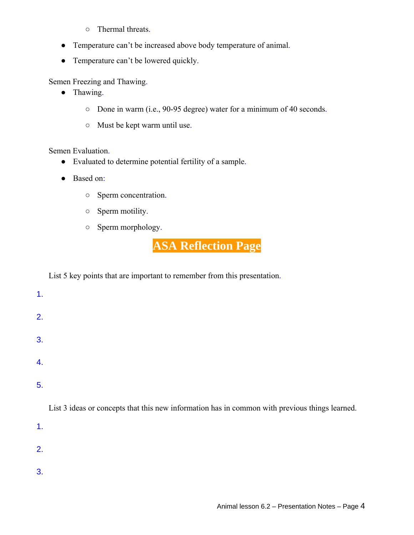- Thermal threats.
- Temperature can't be increased above body temperature of animal.
- Temperature can't be lowered quickly.

Semen Freezing and Thawing.

- Thawing.
	- Done in warm (i.e., 90-95 degree) water for a minimum of 40 seconds.
	- Must be kept warm until use.

Semen Evaluation.

- Evaluated to determine potential fertility of a sample.
- Based on:
	- Sperm concentration.
	- Sperm motility.
	- Sperm morphology.

**ASA Reflection Page**

List 5 key points that are important to remember from this presentation.

1.

- 2.
- 
- 3.
- 
- 4.

5.

List 3 ideas or concepts that this new information has in common with previous things learned.

1.

- 2.
- 
- 3.